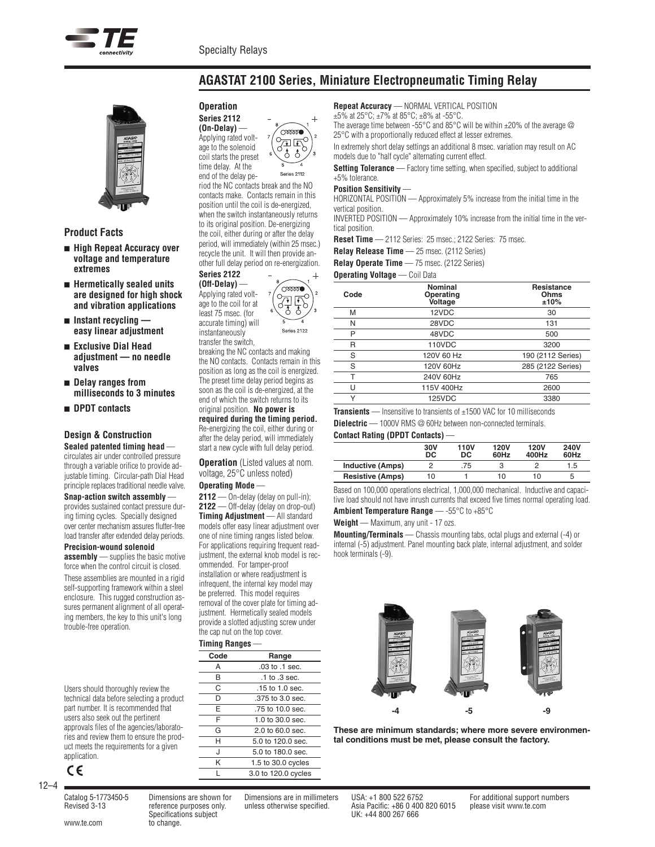

# **AGASTAT 2100 Series, Miniature Electropneumatic Timing Relay**



#### **Product Facts**

- <sup>n</sup> **High Repeat Accuracy over voltage and temperature extremes**
- <sup>n</sup> **Hermetically sealed units are designed for high shock and vibration applications**
- <sup>n</sup> **Instant recycling easy linear adjustment**
- <sup>n</sup> **Exclusive Dial Head adjustment — no needle valves**
- <sup>n</sup> **Delay ranges from milliseconds to 3 minutes**
- <sup>n</sup> **DPDT contacts**

#### **Design & Construction**

**Sealed patented timing head** circulates air under controlled pressure through a variable orifice to provide adjustable timing. Circular-path Dial Head principle replaces traditional needle valve.

#### **Snap-action switch assembly** —

provides sustained contact pressure during timing cycles. Specially designed over center mechanism assures flutter-free load transfer after extended delay periods.

#### **Precision-wound solenoid**

**assembly** — supplies the basic motive force when the control circuit is closed.

These assemblies are mounted in a rigid self-supporting framework within a steel enclosure. This rugged construction assures permanent alignment of all operating members, the key to this unit's long trouble-free operation.

Users should thoroughly review the technical data before selecting a product part number. It is recommended that users also seek out the pertinent approvals files of the agencies/laboratories and review them to ensure the product meets the requirements for a given application.



12–4

#### **Operation Series 2112 (On-Delay)** —



end of the delay period the NC contacts break and the NO contacts make. Contacts remain in this position until the coil is de-energized, when the switch instantaneously returns to its original position. De-energizing the coil, either during or after the delay period, will immediately (within 25 msec.) recycle the unit. It will then provide another full delay period on re-energization. **Series 2122**



breaking the NC contacts and making the NO contacts. Contacts remain in this position as long as the coil is energized. The preset time delay period begins as soon as the coil is de-energized, at the end of which the switch returns to its original position. **No power is required during the timing period.** Re-energizing the coil, either during or after the delay period, will immediately start a new cycle with full delay period.

**Operation** (Listed values at nom. voltage, 25°C unless noted)

### **Operating Mode** —

**2112** — On-delay (delay on pull-in); **2122** — Off-delay (delay on drop-out) **Timing Adjustment** — All standard models offer easy linear adjustment over one of nine timing ranges listed below. For applications requiring frequent readjustment, the external knob model is recommended. For tamper-proof installation or where readjustment is infrequent, the internal key model may be preferred. This model requires removal of the cover plate for timing adjustment. Hermetically sealed models provide a slotted adjusting screw under the cap nut on the top cover.

#### **Timing Ranges** —

| Code | Range                               |
|------|-------------------------------------|
| Α    | .03 to .1 sec.                      |
| B    | .1 to .3 sec.                       |
| C    | .15 to 1.0 sec.                     |
| D    | .375 to 3.0 sec.                    |
| Е    | .75 to 10.0 sec.                    |
| F    | $1.0$ to $30.0$ sec.                |
| G    | $2.0 \text{ to } 60.0 \text{ sec.}$ |
| н    | 5.0 to 120.0 sec.                   |
| J    | 5.0 to 180.0 sec.                   |
| Κ    | 1.5 to 30.0 cycles                  |
|      | 3.0 to 120.0 cycles                 |

**Repeat Accuracy** — NORMAL VERTICAL POSITION

 $\pm 5\%$  at 25°C;  $\pm 7\%$  at 85°C;  $\pm 8\%$  at -55°C.

The average time between -55°C and 85°C will be within  $\pm 20\%$  of the average  $\oslash$ 25°C with a proportionally reduced effect at lesser extremes.

In extremely short delay settings an additional 8 msec. variation may result on AC models due to "half cycle" alternating current effect.

**Setting Tolerance** — Factory time setting, when specified, subject to additional +5% tolerance.

#### **Position Sensitivity** —

HORIZONTAL POSITION — Approximately 5% increase from the initial time in the vertical position.

INVERTED POSITION — Approximately 10% increase from the initial time in the vertical position.

**Reset Time** — 2112 Series: 25 msec.; 2122 Series: 75 msec.

**Relay Release Time** — 25 msec. (2112 Series)

**Relay Operate Time** — 75 msec. (2122 Series)

**Operating Voltage** — Coil Data

| Code | Nominal<br>Operating<br><b>Voltage</b> | <b>Resistance</b><br>Ohms<br>±10% |
|------|----------------------------------------|-----------------------------------|
| M    | 12VDC                                  | 30                                |
| N    | 28VDC                                  | 131                               |
| P    | 48VDC                                  | 500                               |
| R    | 110VDC                                 | 3200                              |
| S    | 120V 60 Hz                             | 190 (2112 Series)                 |
| S    | 120V 60Hz                              | 285 (2122 Series)                 |
| т    | 240V 60Hz                              | 765                               |
| U    | 115V 400Hz                             | 2600                              |
| v    | <b>125VDC</b>                          | 3380                              |

**Transients** — Insensitive to transients of ±1500 VAC for 10 milliseconds

**Dielectric** — 1000V RMS @ 60Hz between non-connected terminals.

### **Contact Rating (DPDT Contacts)** —

|                         | 30V<br>DC | 110V<br>DC | <b>120V</b><br>60Hz | 120V<br>400Hz | 240V<br>60Hz |
|-------------------------|-----------|------------|---------------------|---------------|--------------|
| <b>Inductive (Amps)</b> |           | .75        |                     |               | 1.5          |
| <b>Resistive (Amps)</b> | 10        |            | 10                  | 10            | b            |

Based on 100,000 operations electrical, 1,000,000 mechanical. Inductive and capacitive load should not have inrush currents that exceed five times normal operating load.

**Ambient Temperature Range** — -55°C to +85°C

**Weight** — Maximum, any unit - 17 ozs.

**Mounting/Terminals** — Chassis mounting tabs, octal plugs and external (-4) or internal (-5) adjustment. Panel mounting back plate, internal adjustment, and solder hook terminals (-9).



**These are minimum standards; where more severe environmental conditions must be met, please consult the factory.**

Catalog 5-1773450-5 Dimensions are shown for Dimensions are in millimeters USA: +1 800 522 6752 For additional support numbers Specifications subject UK: +44 800 267 666

Revised 3-13 reference purposes only. unless otherwise specified. Asia Pacific: +86 0 400 820 6015 please visit www.te.com

www.te.com to change.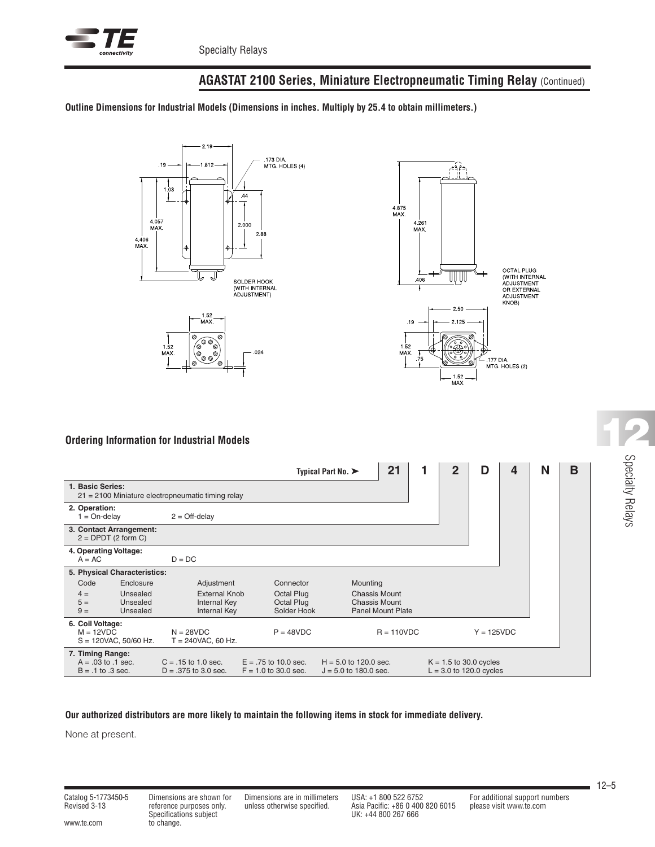

# **AGASTAT 2100 Series, Miniature Electropneumatic Timing Relay** (Continued)

**Outline Dimensions for Industrial Models (Dimensions in inches. Multiply by 25.4 to obtain millimeters.)**





## **Ordering Information for Industrial Models**

|                                                                     |                                                  |                                                   | Typical Part No. $\blacktriangleright$           | 21                                                 | $\mathbf{2}$<br>D        | 4                                                     | N | В |  |
|---------------------------------------------------------------------|--------------------------------------------------|---------------------------------------------------|--------------------------------------------------|----------------------------------------------------|--------------------------|-------------------------------------------------------|---|---|--|
| 1. Basic Series:                                                    |                                                  | 21 = 2100 Miniature electropneumatic timing relay |                                                  |                                                    |                          |                                                       |   |   |  |
| 2. Operation:<br>$1 = On$ -delay                                    |                                                  | $2 = \text{Off-delay}$                            |                                                  |                                                    |                          |                                                       |   |   |  |
|                                                                     | 3. Contact Arrangement:<br>$2 = DPDT$ (2 form C) |                                                   |                                                  |                                                    |                          |                                                       |   |   |  |
| 4. Operating Voltage:<br>$A = AC$                                   |                                                  | $D = DC$                                          |                                                  |                                                    |                          |                                                       |   |   |  |
|                                                                     | 5. Physical Characteristics:                     |                                                   |                                                  |                                                    |                          |                                                       |   |   |  |
| Code                                                                | Enclosure                                        | Adjustment                                        | Connector                                        | Mounting                                           |                          |                                                       |   |   |  |
| $4 =$                                                               | Unsealed                                         | External Knob                                     | Octal Plug                                       | Chassis Mount                                      |                          |                                                       |   |   |  |
| $5 =$<br>$9 =$                                                      | Unsealed<br>Unsealed                             | <b>Internal Key</b><br>Internal Key               | Octal Plug<br>Solder Hook                        | <b>Chassis Mount</b>                               | <b>Panel Mount Plate</b> |                                                       |   |   |  |
| 6. Coil Voltage:<br>$M = 12VDC$                                     | $S = 120$ VAC, 50/60 Hz.                         | $N = 28VDC$<br>$T = 240$ VAC, 60 Hz.              | $P = 48VDC$                                      |                                                    | $R = 110VDC$             | $Y = 125VDC$                                          |   |   |  |
| 7. Timing Range:<br>$A = .03$ to $.1$ sec.<br>$B = .1$ to $.3$ sec. |                                                  | $C = .15$ to 1.0 sec.<br>$D = .375$ to 3.0 sec.   | $E = .75$ to 10.0 sec.<br>$F = 1.0$ to 30.0 sec. | $H = 5.0$ to 120.0 sec.<br>$J = 5.0$ to 180.0 sec. |                          | $K = 1.5$ to 30.0 cycles<br>$L = 3.0$ to 120.0 cycles |   |   |  |

### **Our authorized distributors are more likely to maintain the following items in stock for immediate delivery.**

None at present.

Specifications subject<br>www.te.com to change.

Specifications subject UK: +44 800 267 666

Revised 3-13 reference purposes only. unless otherwise specified. Asia Pacific: +86 0 400 820 6015 please visit www.te.com

Specialty Relays **12**

L,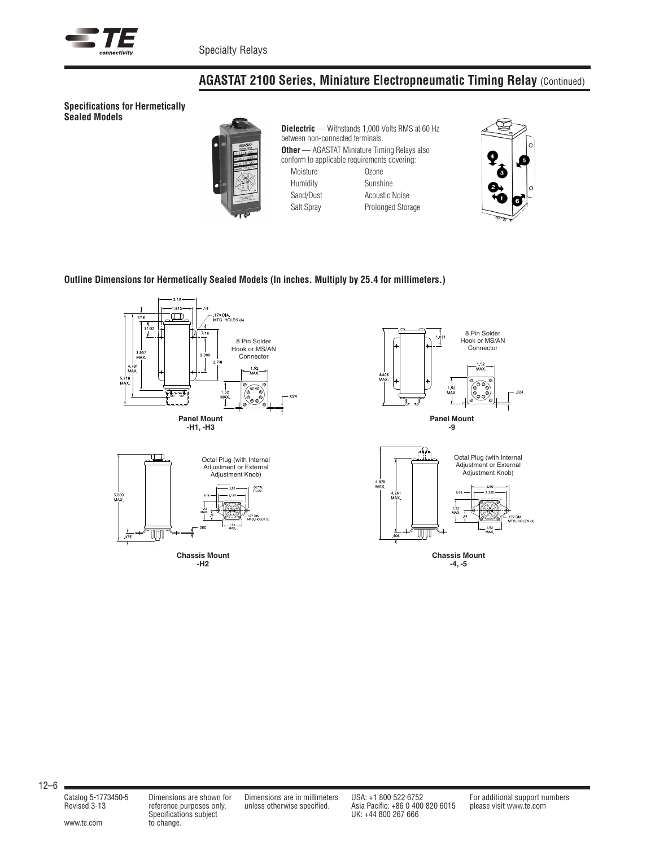

# **AGASTAT 2100 Series, Miniature Electropneumatic Timing Relay** (Continued)

**Specifications for Hermetically Sealed Models**



**Dielectric** — Withstands 1,000 Volts RMS at 60 Hz between non-connected terminals. **Other** — AGASTAT Miniature Timing Relays also conform to applicable requirements covering: Moisture Ozone Humidity **Sunshine** Sand/Dust **Acoustic Noise** Salt Spray Prolonged Storage



### **Outline Dimensions for Hermetically Sealed Models (In inches. Multiply by 25.4 for millimeters.)**





**Chassis Mount -H2**





**Chassis Mount -4, -5**

Specifications subject<br>www.te.com to change.

Specifications subject UK: +44 800 267 666

Catalog 5-1773450-5 Dimensions are shown for Dimensions are in millimeters USA: +1 800 522 6752 For additional support numbers Revised 3-13 reference purposes only. unless otherwise specified. Asia Pacific: +86 0 400 820 6015 please visit www.te.com